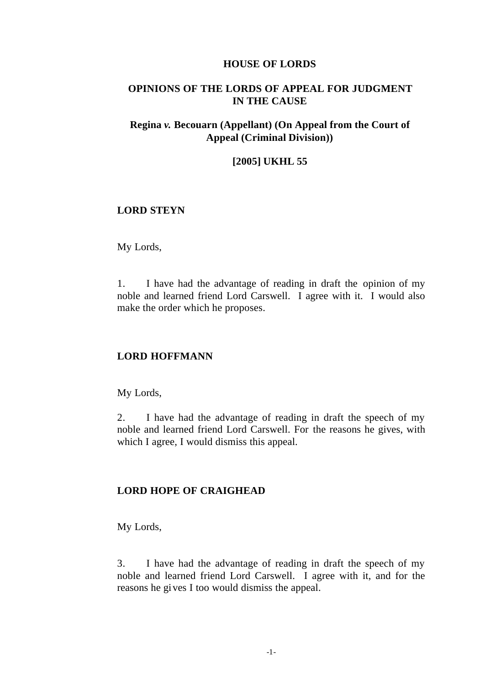### **HOUSE OF LORDS**

# **OPINIONS OF THE LORDS OF APPEAL FOR JUDGMENT IN THE CAUSE**

# **Regina** *v.* **Becouarn (Appellant) (On Appeal from the Court of Appeal (Criminal Division))**

## **[2005] UKHL 55**

## **LORD STEYN**

#### My Lords,

1. I have had the advantage of reading in draft the opinion of my noble and learned friend Lord Carswell. I agree with it. I would also make the order which he proposes.

## **LORD HOFFMANN**

My Lords,

2. I have had the advantage of reading in draft the speech of my noble and learned friend Lord Carswell. For the reasons he gives, with which I agree, I would dismiss this appeal.

#### **LORD HOPE OF CRAIGHEAD**

My Lords,

3. I have had the advantage of reading in draft the speech of my noble and learned friend Lord Carswell. I agree with it, and for the reasons he gives I too would dismiss the appeal.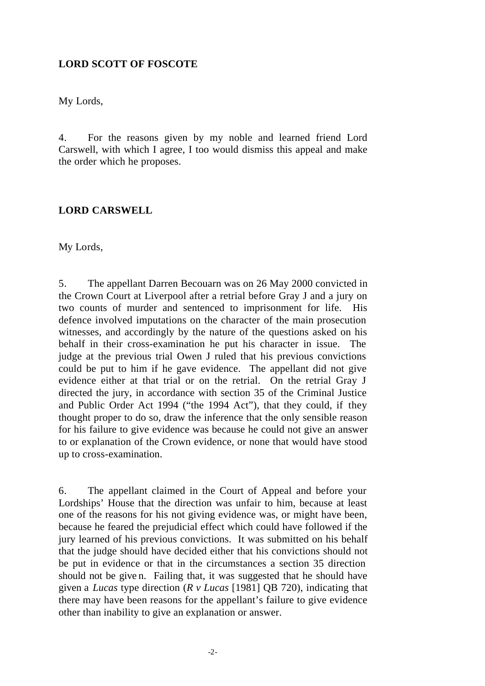# **LORD SCOTT OF FOSCOTE**

My Lords,

4. For the reasons given by my noble and learned friend Lord Carswell, with which I agree, I too would dismiss this appeal and make the order which he proposes.

# **LORD CARSWELL**

My Lords,

5. The appellant Darren Becouarn was on 26 May 2000 convicted in the Crown Court at Liverpool after a retrial before Gray J and a jury on two counts of murder and sentenced to imprisonment for life. His defence involved imputations on the character of the main prosecution witnesses, and accordingly by the nature of the questions asked on his behalf in their cross-examination he put his character in issue. The judge at the previous trial Owen J ruled that his previous convictions could be put to him if he gave evidence. The appellant did not give evidence either at that trial or on the retrial. On the retrial Gray J directed the jury, in accordance with section 35 of the Criminal Justice and Public Order Act 1994 ("the 1994 Act"), that they could, if they thought proper to do so, draw the inference that the only sensible reason for his failure to give evidence was because he could not give an answer to or explanation of the Crown evidence, or none that would have stood up to cross-examination.

6. The appellant claimed in the Court of Appeal and before your Lordships' House that the direction was unfair to him, because at least one of the reasons for his not giving evidence was, or might have been, because he feared the prejudicial effect which could have followed if the jury learned of his previous convictions. It was submitted on his behalf that the judge should have decided either that his convictions should not be put in evidence or that in the circumstances a section 35 direction should not be give n. Failing that, it was suggested that he should have given a *Lucas* type direction (*R v Lucas* [1981] QB 720), indicating that there may have been reasons for the appellant's failure to give evidence other than inability to give an explanation or answer.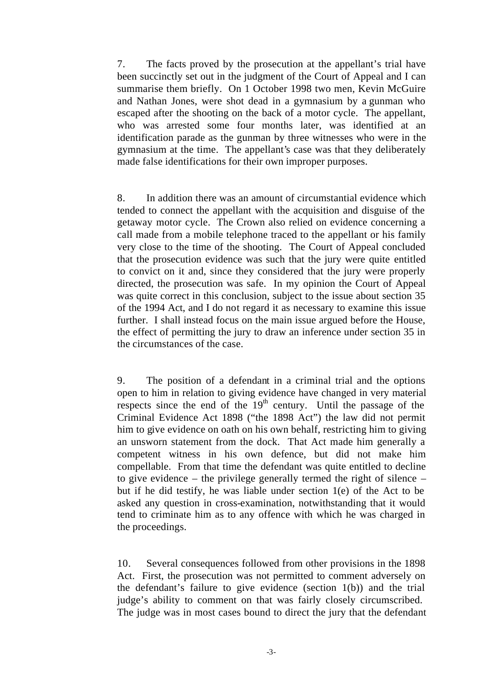7. The facts proved by the prosecution at the appellant's trial have been succinctly set out in the judgment of the Court of Appeal and I can summarise them briefly. On 1 October 1998 two men, Kevin McGuire and Nathan Jones, were shot dead in a gymnasium by a gunman who escaped after the shooting on the back of a motor cycle. The appellant, who was arrested some four months later, was identified at an identification parade as the gunman by three witnesses who were in the gymnasium at the time. The appellant's case was that they deliberately made false identifications for their own improper purposes.

8. In addition there was an amount of circumstantial evidence which tended to connect the appellant with the acquisition and disguise of the getaway motor cycle. The Crown also relied on evidence concerning a call made from a mobile telephone traced to the appellant or his family very close to the time of the shooting. The Court of Appeal concluded that the prosecution evidence was such that the jury were quite entitled to convict on it and, since they considered that the jury were properly directed, the prosecution was safe. In my opinion the Court of Appeal was quite correct in this conclusion, subject to the issue about section 35 of the 1994 Act, and I do not regard it as necessary to examine this issue further. I shall instead focus on the main issue argued before the House, the effect of permitting the jury to draw an inference under section 35 in the circumstances of the case.

9. The position of a defendant in a criminal trial and the options open to him in relation to giving evidence have changed in very material respects since the end of the  $19<sup>th</sup>$  century. Until the passage of the Criminal Evidence Act 1898 ("the 1898 Act") the law did not permit him to give evidence on oath on his own behalf, restricting him to giving an unsworn statement from the dock. That Act made him generally a competent witness in his own defence, but did not make him compellable. From that time the defendant was quite entitled to decline to give evidence – the privilege generally termed the right of silence – but if he did testify, he was liable under section 1(e) of the Act to be asked any question in cross-examination, notwithstanding that it would tend to criminate him as to any offence with which he was charged in the proceedings.

10. Several consequences followed from other provisions in the 1898 Act. First, the prosecution was not permitted to comment adversely on the defendant's failure to give evidence (section  $1(b)$ ) and the trial judge's ability to comment on that was fairly closely circumscribed. The judge was in most cases bound to direct the jury that the defendant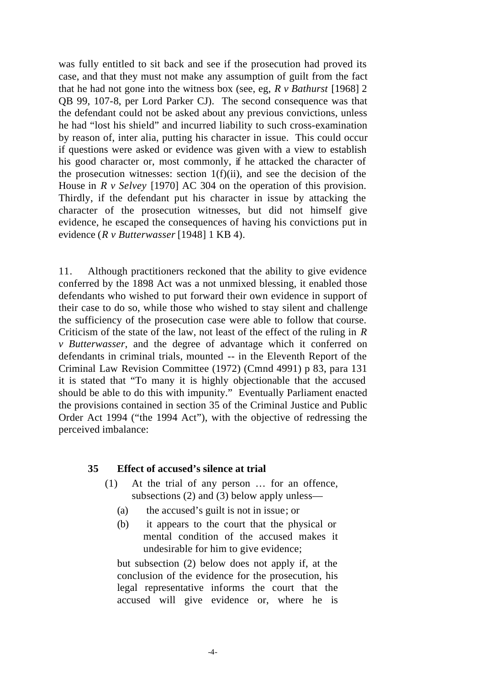was fully entitled to sit back and see if the prosecution had proved its case, and that they must not make any assumption of guilt from the fact that he had not gone into the witness box (see, eg, *R v Bathurst* [1968] 2 QB 99, 107-8, per Lord Parker CJ). The second consequence was that the defendant could not be asked about any previous convictions, unless he had "lost his shield" and incurred liability to such cross-examination by reason of, inter alia, putting his character in issue. This could occur if questions were asked or evidence was given with a view to establish his good character or, most commonly, if he attacked the character of the prosecution witnesses: section  $1(f)(ii)$ , and see the decision of the House in *R v Selvey* [1970] AC 304 on the operation of this provision. Thirdly, if the defendant put his character in issue by attacking the character of the prosecution witnesses, but did not himself give evidence, he escaped the consequences of having his convictions put in evidence (*R v Butterwasser* [1948] 1 KB 4).

11. Although practitioners reckoned that the ability to give evidence conferred by the 1898 Act was a not unmixed blessing, it enabled those defendants who wished to put forward their own evidence in support of their case to do so, while those who wished to stay silent and challenge the sufficiency of the prosecution case were able to follow that course. Criticism of the state of the law, not least of the effect of the ruling in *R v Butterwasser*, and the degree of advantage which it conferred on defendants in criminal trials, mounted -- in the Eleventh Report of the Criminal Law Revision Committee (1972) (Cmnd 4991) p 83, para 131 it is stated that "To many it is highly objectionable that the accused should be able to do this with impunity." Eventually Parliament enacted the provisions contained in section 35 of the Criminal Justice and Public Order Act 1994 ("the 1994 Act"), with the objective of redressing the perceived imbalance:

## **35 Effect of accused's silence at trial**

- (1) At the trial of any person … for an offence, subsections (2) and (3) below apply unless—
	- (a) the accused's guilt is not in issue; or
	- (b) it appears to the court that the physical or mental condition of the accused makes it undesirable for him to give evidence;

but subsection (2) below does not apply if, at the conclusion of the evidence for the prosecution, his legal representative informs the court that the accused will give evidence or, where he is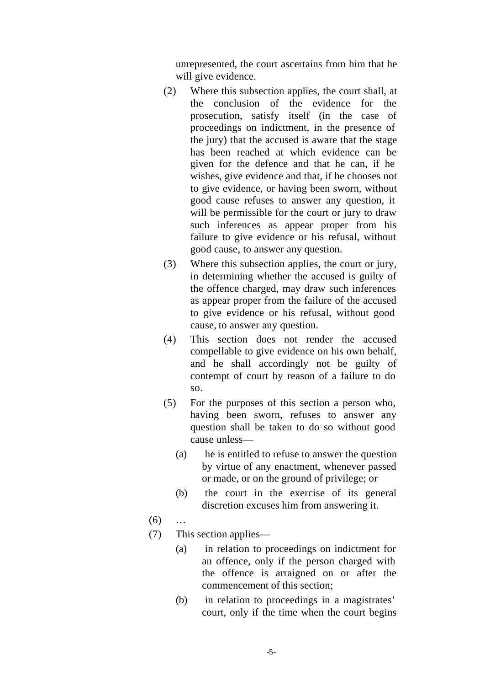unrepresented, the court ascertains from him that he will give evidence.

- (2) Where this subsection applies, the court shall, at the conclusion of the evidence for the prosecution, satisfy itself (in the case of proceedings on indictment, in the presence of the jury) that the accused is aware that the stage has been reached at which evidence can be given for the defence and that he can, if he wishes, give evidence and that, if he chooses not to give evidence, or having been sworn, without good cause refuses to answer any question, it will be permissible for the court or jury to draw such inferences as appear proper from his failure to give evidence or his refusal, without good cause, to answer any question.
- (3) Where this subsection applies, the court or jury, in determining whether the accused is guilty of the offence charged, may draw such inferences as appear proper from the failure of the accused to give evidence or his refusal, without good cause, to answer any question.
- (4) This section does not render the accused compellable to give evidence on his own behalf, and he shall accordingly not be guilty of contempt of court by reason of a failure to do so.
- (5) For the purposes of this section a person who, having been sworn, refuses to answer any question shall be taken to do so without good cause unless—
	- (a) he is entitled to refuse to answer the question by virtue of any enactment, whenever passed or made, or on the ground of privilege; or
	- (b) the court in the exercise of its general discretion excuses him from answering it.
- $(6)$
- (7) This section applies—
	- (a) in relation to proceedings on indictment for an offence, only if the person charged with the offence is arraigned on or after the commencement of this section;
	- (b) in relation to proceedings in a magistrates' court, only if the time when the court begins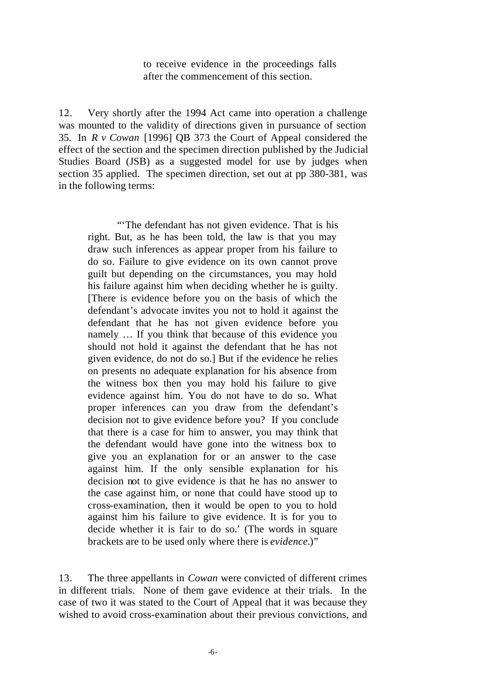## to receive evidence in the proceedings falls after the commencement of this section.

12. Very shortly after the 1994 Act came into operation a challenge was mounted to the validity of directions given in pursuance of section 35. In *R v Cowan* [1996] QB 373 the Court of Appeal considered the effect of the section and the specimen direction published by the Judicial Studies Board (JSB) as a suggested model for use by judges when section 35 applied. The specimen direction, set out at pp 380-381, was in the following terms:

"The defendant has not given evidence. That is his right. But, as he has been told, the law is that you may draw such inferences as appear proper from his failure to do so. Failure to give evidence on its own cannot prove guilt but depending on the circumstances, you may hold his failure against him when deciding whether he is guilty. [There is evidence before you on the basis of which the defendant's advocate invites you not to hold it against the defendant that he has not given evidence before you namely … If you think that because of this evidence you should not hold it against the defendant that he has not given evidence, do not do so.] But if the evidence he relies on presents no adequate explanation for his absence from the witness box then you may hold his failure to give evidence against him. You do not have to do so. What proper inferences can you draw from the defendant's decision not to give evidence before you? If you conclude that there is a case for him to answer, you may think that the defendant would have gone into the witness box to give you an explanation for or an answer to the case against him. If the only sensible explanation for his decision not to give evidence is that he has no answer to the case against him, or none that could have stood up to cross-examination, then it would be open to you to hold against him his failure to give evidence. It is for you to decide whether it is fair to do so.' (The words in square brackets are to be used only where there is *evidence.*)"

13. The three appellants in *Cowan* were convicted of different crimes in different trials. None of them gave evidence at their trials. In the case of two it was stated to the Court of Appeal that it was because they wished to avoid cross-examination about their previous convictions, and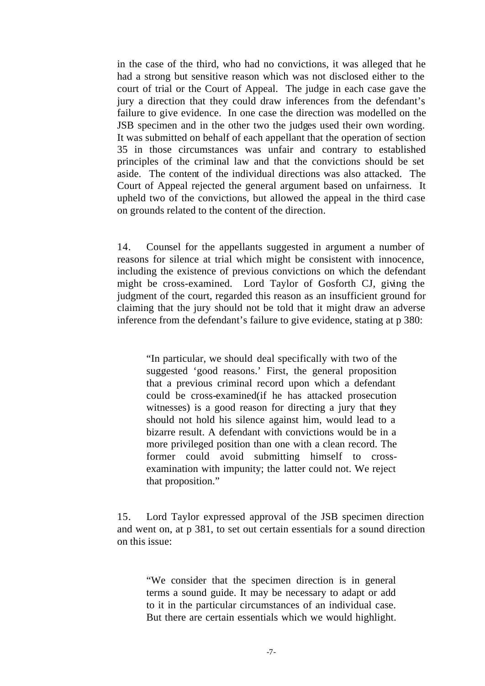in the case of the third, who had no convictions, it was alleged that he had a strong but sensitive reason which was not disclosed either to the court of trial or the Court of Appeal. The judge in each case gave the jury a direction that they could draw inferences from the defendant's failure to give evidence. In one case the direction was modelled on the JSB specimen and in the other two the judges used their own wording. It was submitted on behalf of each appellant that the operation of section 35 in those circumstances was unfair and contrary to established principles of the criminal law and that the convictions should be set aside. The content of the individual directions was also attacked. The Court of Appeal rejected the general argument based on unfairness. It upheld two of the convictions, but allowed the appeal in the third case on grounds related to the content of the direction.

14. Counsel for the appellants suggested in argument a number of reasons for silence at trial which might be consistent with innocence, including the existence of previous convictions on which the defendant might be cross-examined. Lord Taylor of Gosforth CJ, giving the judgment of the court, regarded this reason as an insufficient ground for claiming that the jury should not be told that it might draw an adverse inference from the defendant's failure to give evidence, stating at p 380:

"In particular, we should deal specifically with two of the suggested 'good reasons.' First, the general proposition that a previous criminal record upon which a defendant could be cross-examined(if he has attacked prosecution witnesses) is a good reason for directing a jury that they should not hold his silence against him, would lead to a bizarre result. A defendant with convictions would be in a more privileged position than one with a clean record. The former could avoid submitting himself to crossexamination with impunity; the latter could not. We reject that proposition."

15. Lord Taylor expressed approval of the JSB specimen direction and went on, at p 381, to set out certain essentials for a sound direction on this issue:

"We consider that the specimen direction is in general terms a sound guide. It may be necessary to adapt or add to it in the particular circumstances of an individual case. But there are certain essentials which we would highlight.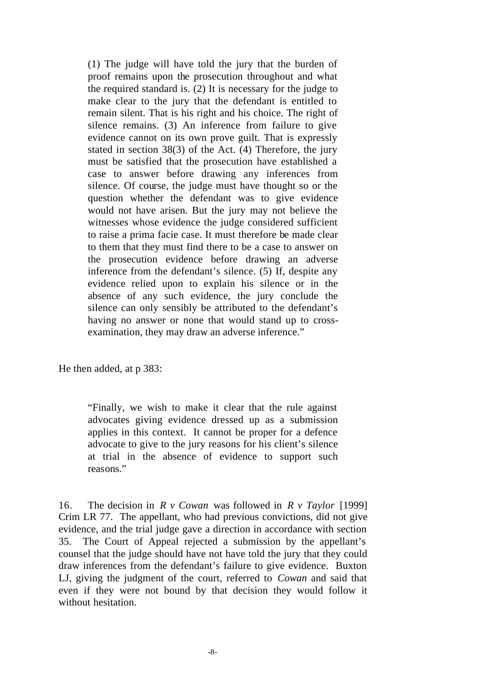(1) The judge will have told the jury that the burden of proof remains upon the prosecution throughout and what the required standard is. (2) It is necessary for the judge to make clear to the jury that the defendant is entitled to remain silent. That is his right and his choice. The right of silence remains. (3) An inference from failure to give evidence cannot on its own prove guilt. That is expressly stated in section 38(3) of the Act. (4) Therefore, the jury must be satisfied that the prosecution have established a case to answer before drawing any inferences from silence. Of course, the judge must have thought so or the question whether the defendant was to give evidence would not have arisen. But the jury may not believe the witnesses whose evidence the judge considered sufficient to raise a prima facie case. It must therefore be made clear to them that they must find there to be a case to answer on the prosecution evidence before drawing an adverse inference from the defendant's silence. (5) If, despite any evidence relied upon to explain his silence or in the absence of any such evidence, the jury conclude the silence can only sensibly be attributed to the defendant's having no answer or none that would stand up to crossexamination, they may draw an adverse inference."

He then added, at p 383:

"Finally, we wish to make it clear that the rule against advocates giving evidence dressed up as a submission applies in this context. It cannot be proper for a defence advocate to give to the jury reasons for his client's silence at trial in the absence of evidence to support such reasons."

16. The decision in *R v Cowan* was followed in *R v Taylor* [1999] Crim LR 77. The appellant, who had previous convictions, did not give evidence, and the trial judge gave a direction in accordance with section 35. The Court of Appeal rejected a submission by the appellant's counsel that the judge should have not have told the jury that they could draw inferences from the defendant's failure to give evidence. Buxton LJ, giving the judgment of the court, referred to *Cowan* and said that even if they were not bound by that decision they would follow it without hesitation.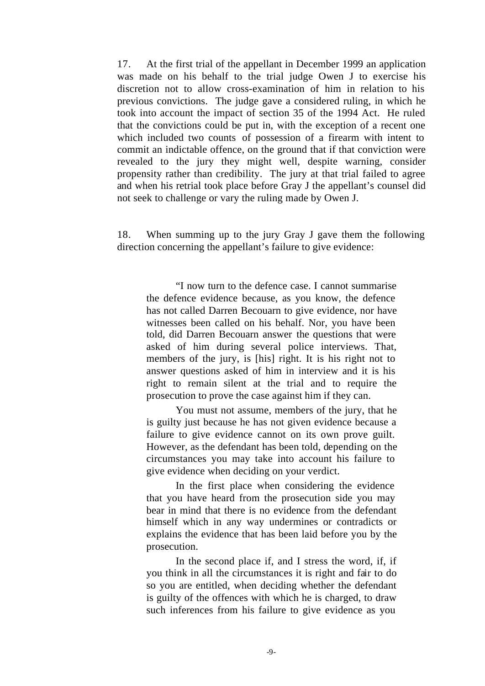17. At the first trial of the appellant in December 1999 an application was made on his behalf to the trial judge Owen J to exercise his discretion not to allow cross-examination of him in relation to his previous convictions. The judge gave a considered ruling, in which he took into account the impact of section 35 of the 1994 Act. He ruled that the convictions could be put in, with the exception of a recent one which included two counts of possession of a firearm with intent to commit an indictable offence, on the ground that if that conviction were revealed to the jury they might well, despite warning, consider propensity rather than credibility. The jury at that trial failed to agree and when his retrial took place before Gray J the appellant's counsel did not seek to challenge or vary the ruling made by Owen J.

18. When summing up to the jury Gray J gave them the following direction concerning the appellant's failure to give evidence:

"I now turn to the defence case. I cannot summarise the defence evidence because, as you know, the defence has not called Darren Becouarn to give evidence, nor have witnesses been called on his behalf. Nor, you have been told, did Darren Becouarn answer the questions that were asked of him during several police interviews. That, members of the jury, is [his] right. It is his right not to answer questions asked of him in interview and it is his right to remain silent at the trial and to require the prosecution to prove the case against him if they can.

You must not assume, members of the jury, that he is guilty just because he has not given evidence because a failure to give evidence cannot on its own prove guilt. However, as the defendant has been told, depending on the circumstances you may take into account his failure to give evidence when deciding on your verdict.

In the first place when considering the evidence that you have heard from the prosecution side you may bear in mind that there is no evidence from the defendant himself which in any way undermines or contradicts or explains the evidence that has been laid before you by the prosecution.

In the second place if, and I stress the word, if, if you think in all the circumstances it is right and fair to do so you are entitled, when deciding whether the defendant is guilty of the offences with which he is charged, to draw such inferences from his failure to give evidence as you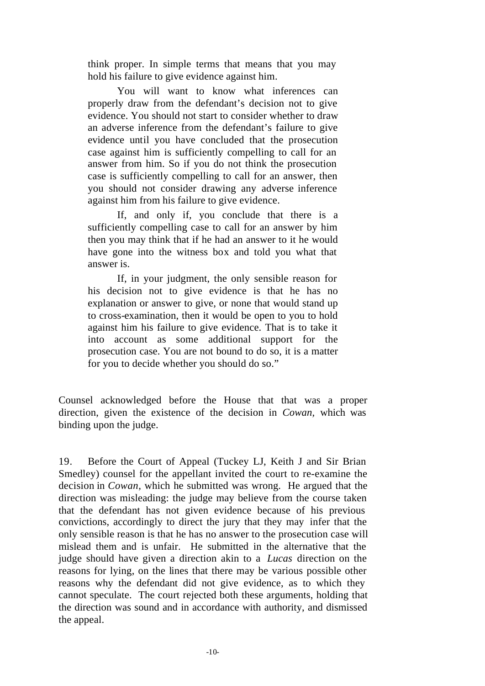think proper. In simple terms that means that you may hold his failure to give evidence against him.

You will want to know what inferences can properly draw from the defendant's decision not to give evidence. You should not start to consider whether to draw an adverse inference from the defendant's failure to give evidence until you have concluded that the prosecution case against him is sufficiently compelling to call for an answer from him. So if you do not think the prosecution case is sufficiently compelling to call for an answer, then you should not consider drawing any adverse inference against him from his failure to give evidence.

If, and only if, you conclude that there is a sufficiently compelling case to call for an answer by him then you may think that if he had an answer to it he would have gone into the witness box and told you what that answer is.

If, in your judgment, the only sensible reason for his decision not to give evidence is that he has no explanation or answer to give, or none that would stand up to cross-examination, then it would be open to you to hold against him his failure to give evidence. That is to take it into account as some additional support for the prosecution case. You are not bound to do so, it is a matter for you to decide whether you should do so."

Counsel acknowledged before the House that that was a proper direction, given the existence of the decision in *Cowan,* which was binding upon the judge.

19. Before the Court of Appeal (Tuckey LJ, Keith J and Sir Brian Smedley) counsel for the appellant invited the court to re-examine the decision in *Cowan*, which he submitted was wrong. He argued that the direction was misleading: the judge may believe from the course taken that the defendant has not given evidence because of his previous convictions, accordingly to direct the jury that they may infer that the only sensible reason is that he has no answer to the prosecution case will mislead them and is unfair. He submitted in the alternative that the judge should have given a direction akin to a *Lucas* direction on the reasons for lying, on the lines that there may be various possible other reasons why the defendant did not give evidence, as to which they cannot speculate. The court rejected both these arguments, holding that the direction was sound and in accordance with authority, and dismissed the appeal.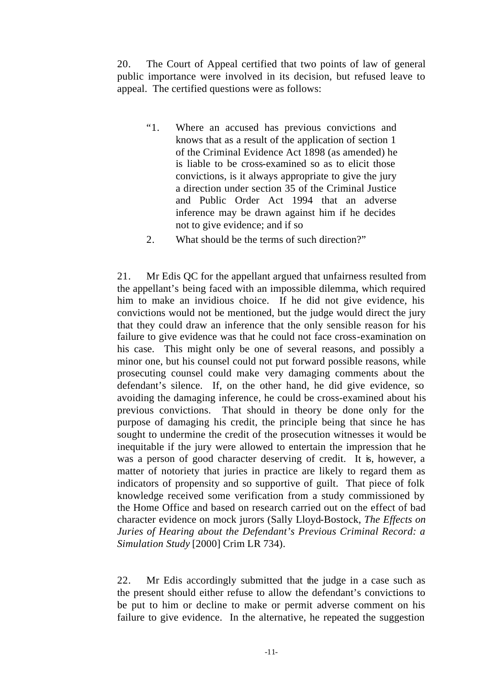20. The Court of Appeal certified that two points of law of general public importance were involved in its decision, but refused leave to appeal. The certified questions were as follows:

- "1. Where an accused has previous convictions and knows that as a result of the application of section 1 of the Criminal Evidence Act 1898 (as amended) he is liable to be cross-examined so as to elicit those convictions, is it always appropriate to give the jury a direction under section 35 of the Criminal Justice and Public Order Act 1994 that an adverse inference may be drawn against him if he decides not to give evidence; and if so
- 2. What should be the terms of such direction?"

21. Mr Edis QC for the appellant argued that unfairness resulted from the appellant's being faced with an impossible dilemma, which required him to make an invidious choice. If he did not give evidence, his convictions would not be mentioned, but the judge would direct the jury that they could draw an inference that the only sensible reason for his failure to give evidence was that he could not face cross-examination on his case. This might only be one of several reasons, and possibly a minor one, but his counsel could not put forward possible reasons, while prosecuting counsel could make very damaging comments about the defendant's silence. If, on the other hand, he did give evidence, so avoiding the damaging inference, he could be cross-examined about his previous convictions. That should in theory be done only for the purpose of damaging his credit, the principle being that since he has sought to undermine the credit of the prosecution witnesses it would be inequitable if the jury were allowed to entertain the impression that he was a person of good character deserving of credit. It is, however, a matter of notoriety that juries in practice are likely to regard them as indicators of propensity and so supportive of guilt. That piece of folk knowledge received some verification from a study commissioned by the Home Office and based on research carried out on the effect of bad character evidence on mock jurors (Sally Lloyd-Bostock, *The Effects on Juries of Hearing about the Defendant's Previous Criminal Record: a Simulation Study* [2000] Crim LR 734).

22. Mr Edis accordingly submitted that the judge in a case such as the present should either refuse to allow the defendant's convictions to be put to him or decline to make or permit adverse comment on his failure to give evidence. In the alternative, he repeated the suggestion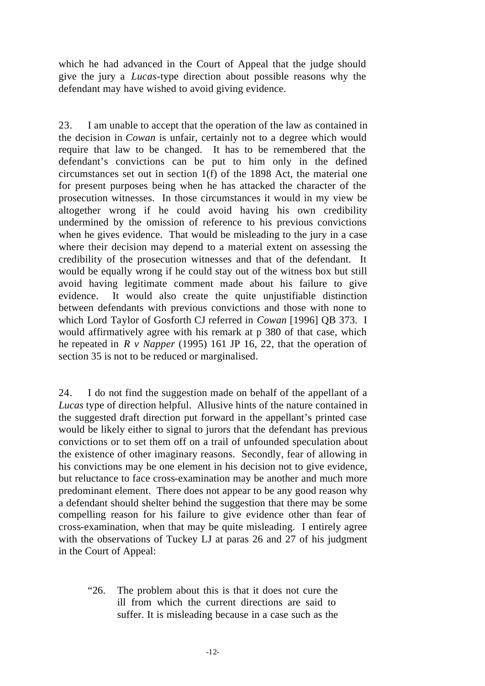which he had advanced in the Court of Appeal that the judge should give the jury a *Lucas*-type direction about possible reasons why the defendant may have wished to avoid giving evidence.

23. I am unable to accept that the operation of the law as contained in the decision in *Cowan* is unfair, certainly not to a degree which would require that law to be changed. It has to be remembered that the defendant's convictions can be put to him only in the defined circumstances set out in section 1(f) of the 1898 Act, the material one for present purposes being when he has attacked the character of the prosecution witnesses. In those circumstances it would in my view be altogether wrong if he could avoid having his own credibility undermined by the omission of reference to his previous convictions when he gives evidence. That would be misleading to the jury in a case where their decision may depend to a material extent on assessing the credibility of the prosecution witnesses and that of the defendant. It would be equally wrong if he could stay out of the witness box but still avoid having legitimate comment made about his failure to give evidence. It would also create the quite unjustifiable distinction between defendants with previous convictions and those with none to which Lord Taylor of Gosforth CJ referred in *Cowan* [1996] QB 373*.* I would affirmatively agree with his remark at p 380 of that case, which he repeated in *R v Napper* (1995) 161 JP 16, 22, that the operation of section 35 is not to be reduced or marginalised.

24. I do not find the suggestion made on behalf of the appellant of a *Lucas* type of direction helpful. Allusive hints of the nature contained in the suggested draft direction put forward in the appellant's printed case would be likely either to signal to jurors that the defendant has previous convictions or to set them off on a trail of unfounded speculation about the existence of other imaginary reasons. Secondly, fear of allowing in his convictions may be one element in his decision not to give evidence, but reluctance to face cross-examination may be another and much more predominant element. There does not appear to be any good reason why a defendant should shelter behind the suggestion that there may be some compelling reason for his failure to give evidence other than fear of cross-examination, when that may be quite misleading. I entirely agree with the observations of Tuckey LJ at paras 26 and 27 of his judgment in the Court of Appeal:

"26. The problem about this is that it does not cure the ill from which the current directions are said to suffer. It is misleading because in a case such as the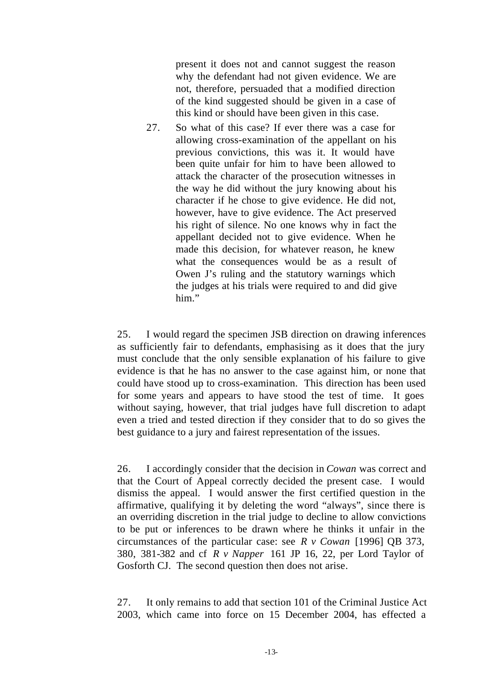present it does not and cannot suggest the reason why the defendant had not given evidence. We are not, therefore, persuaded that a modified direction of the kind suggested should be given in a case of this kind or should have been given in this case.

27. So what of this case? If ever there was a case for allowing cross-examination of the appellant on his previous convictions, this was it. It would have been quite unfair for him to have been allowed to attack the character of the prosecution witnesses in the way he did without the jury knowing about his character if he chose to give evidence. He did not, however, have to give evidence. The Act preserved his right of silence. No one knows why in fact the appellant decided not to give evidence. When he made this decision, for whatever reason, he knew what the consequences would be as a result of Owen J's ruling and the statutory warnings which the judges at his trials were required to and did give him."

25. I would regard the specimen JSB direction on drawing inferences as sufficiently fair to defendants, emphasising as it does that the jury must conclude that the only sensible explanation of his failure to give evidence is that he has no answer to the case against him, or none that could have stood up to cross-examination. This direction has been used for some years and appears to have stood the test of time. It goes without saying, however, that trial judges have full discretion to adapt even a tried and tested direction if they consider that to do so gives the best guidance to a jury and fairest representation of the issues.

26. I accordingly consider that the decision in *Cowan* was correct and that the Court of Appeal correctly decided the present case. I would dismiss the appeal. I would answer the first certified question in the affirmative, qualifying it by deleting the word "always", since there is an overriding discretion in the trial judge to decline to allow convictions to be put or inferences to be drawn where he thinks it unfair in the circumstances of the particular case: see *R v Cowan* [1996] QB 373, 380, 381-382 and cf *R v Napper* 161 JP 16, 22, per Lord Taylor of Gosforth CJ. The second question then does not arise.

27. It only remains to add that section 101 of the Criminal Justice Act 2003, which came into force on 15 December 2004, has effected a